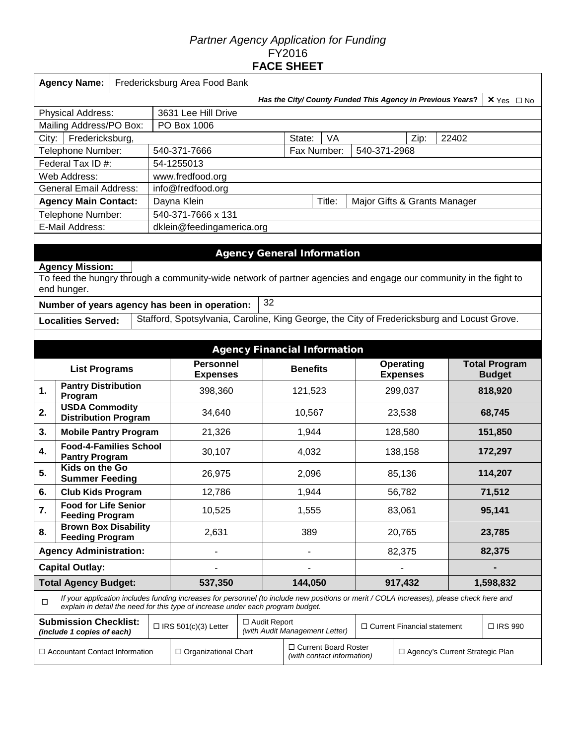## *Partner Agency Application for Funding*  FY2016 **FACE SHEET**

|                                              | <b>Agency Name:</b><br>Fredericksburg Area Food Bank            |  |  |                                                                                                                                                                                                                             |                             |                                                  |                                                      |        |                                    |                                   |                                                            |                      |  |
|----------------------------------------------|-----------------------------------------------------------------|--|--|-----------------------------------------------------------------------------------------------------------------------------------------------------------------------------------------------------------------------------|-----------------------------|--------------------------------------------------|------------------------------------------------------|--------|------------------------------------|-----------------------------------|------------------------------------------------------------|----------------------|--|
|                                              |                                                                 |  |  |                                                                                                                                                                                                                             |                             |                                                  |                                                      |        |                                    |                                   | Has the City/ County Funded This Agency in Previous Years? | $X$ Yes $\Box$ No    |  |
|                                              | <b>Physical Address:</b>                                        |  |  | 3631 Lee Hill Drive                                                                                                                                                                                                         |                             |                                                  |                                                      |        |                                    |                                   |                                                            |                      |  |
|                                              | Mailing Address/PO Box:                                         |  |  | PO Box 1006                                                                                                                                                                                                                 |                             |                                                  |                                                      |        |                                    |                                   |                                                            |                      |  |
| City:                                        | Fredericksburg,                                                 |  |  |                                                                                                                                                                                                                             |                             |                                                  | State:                                               |        |                                    |                                   |                                                            |                      |  |
|                                              | Telephone Number:                                               |  |  | 540-371-7666                                                                                                                                                                                                                | Fax Number:<br>540-371-2968 |                                                  |                                                      |        |                                    |                                   |                                                            |                      |  |
|                                              | Federal Tax ID #:                                               |  |  | 54-1255013                                                                                                                                                                                                                  |                             |                                                  |                                                      |        |                                    |                                   |                                                            |                      |  |
|                                              | Web Address:                                                    |  |  | www.fredfood.org                                                                                                                                                                                                            |                             |                                                  |                                                      |        |                                    |                                   |                                                            |                      |  |
|                                              | <b>General Email Address:</b>                                   |  |  | info@fredfood.org                                                                                                                                                                                                           |                             |                                                  |                                                      |        |                                    |                                   |                                                            |                      |  |
| <b>Agency Main Contact:</b><br>Dayna Klein   |                                                                 |  |  |                                                                                                                                                                                                                             |                             |                                                  |                                                      | Title: |                                    |                                   | Major Gifts & Grants Manager                               |                      |  |
| Telephone Number:                            |                                                                 |  |  | 540-371-7666 x 131                                                                                                                                                                                                          |                             |                                                  |                                                      |        |                                    |                                   |                                                            |                      |  |
| E-Mail Address:<br>dklein@feedingamerica.org |                                                                 |  |  |                                                                                                                                                                                                                             |                             |                                                  |                                                      |        |                                    |                                   |                                                            |                      |  |
|                                              |                                                                 |  |  |                                                                                                                                                                                                                             |                             |                                                  |                                                      |        |                                    |                                   |                                                            |                      |  |
|                                              |                                                                 |  |  |                                                                                                                                                                                                                             |                             |                                                  | <b>Agency General Information</b>                    |        |                                    |                                   |                                                            |                      |  |
|                                              | <b>Agency Mission:</b>                                          |  |  |                                                                                                                                                                                                                             |                             |                                                  |                                                      |        |                                    |                                   |                                                            |                      |  |
|                                              | end hunger.                                                     |  |  | To feed the hungry through a community-wide network of partner agencies and engage our community in the fight to                                                                                                            |                             |                                                  |                                                      |        |                                    |                                   |                                                            |                      |  |
|                                              |                                                                 |  |  | Number of years agency has been in operation:                                                                                                                                                                               |                             | 32                                               |                                                      |        |                                    |                                   |                                                            |                      |  |
|                                              | <b>Localities Served:</b>                                       |  |  | Stafford, Spotsylvania, Caroline, King George, the City of Fredericksburg and Locust Grove.                                                                                                                                 |                             |                                                  |                                                      |        |                                    |                                   |                                                            |                      |  |
|                                              |                                                                 |  |  |                                                                                                                                                                                                                             |                             |                                                  |                                                      |        |                                    |                                   |                                                            |                      |  |
|                                              |                                                                 |  |  |                                                                                                                                                                                                                             |                             |                                                  | <b>Agency Financial Information</b>                  |        |                                    |                                   |                                                            |                      |  |
|                                              |                                                                 |  |  | <b>Personnel</b>                                                                                                                                                                                                            |                             |                                                  |                                                      |        |                                    | <b>Operating</b>                  |                                                            | <b>Total Program</b> |  |
|                                              | <b>List Programs</b>                                            |  |  | <b>Expenses</b>                                                                                                                                                                                                             |                             | <b>Benefits</b>                                  |                                                      |        | <b>Expenses</b>                    |                                   | <b>Budget</b>                                              |                      |  |
| 1.                                           | <b>Pantry Distribution</b><br>Program                           |  |  | 398,360                                                                                                                                                                                                                     |                             | 121,523                                          |                                                      |        | 299,037                            |                                   | 818,920                                                    |                      |  |
| 2.                                           | <b>USDA Commodity</b><br><b>Distribution Program</b>            |  |  | 34,640                                                                                                                                                                                                                      |                             |                                                  | 10,567                                               |        |                                    | 23,538                            |                                                            | 68,745               |  |
| 3.                                           | <b>Mobile Pantry Program</b>                                    |  |  | 21,326                                                                                                                                                                                                                      |                             | 1,944                                            |                                                      |        |                                    | 128,580                           |                                                            | 151,850              |  |
| 4.                                           | <b>Food-4-Families School</b><br><b>Pantry Program</b>          |  |  | 30,107                                                                                                                                                                                                                      |                             |                                                  | 4,032                                                |        |                                    | 138,158                           |                                                            | 172,297              |  |
| 5.                                           | Kids on the Go<br><b>Summer Feeding</b>                         |  |  | 26,975                                                                                                                                                                                                                      |                             |                                                  | 2,096<br>85,136                                      |        |                                    |                                   | 114,207                                                    |                      |  |
| 6.                                           | <b>Club Kids Program</b>                                        |  |  | 12,786                                                                                                                                                                                                                      |                             |                                                  | 1,944<br>56,782                                      |        |                                    |                                   |                                                            | 71,512               |  |
| 7.                                           | <b>Food for Life Senior</b><br>10,525<br><b>Feeding Program</b> |  |  |                                                                                                                                                                                                                             |                             |                                                  | 1,555                                                |        |                                    | 95,141<br>83,061                  |                                                            |                      |  |
| 8.                                           | <b>Brown Box Disability</b><br><b>Feeding Program</b>           |  |  | 2,631                                                                                                                                                                                                                       |                             |                                                  | 389                                                  |        | 20,765                             |                                   |                                                            | 23,785               |  |
|                                              | <b>Agency Administration:</b>                                   |  |  |                                                                                                                                                                                                                             |                             |                                                  |                                                      |        |                                    | 82,375                            |                                                            | 82,375               |  |
|                                              | <b>Capital Outlay:</b>                                          |  |  |                                                                                                                                                                                                                             |                             |                                                  |                                                      |        |                                    |                                   |                                                            |                      |  |
|                                              | <b>Total Agency Budget:</b>                                     |  |  | 537,350                                                                                                                                                                                                                     |                             |                                                  | 144,050                                              |        |                                    | 917,432<br>1,598,832              |                                                            |                      |  |
| $\Box$                                       |                                                                 |  |  | If your application includes funding increases for personnel (to include new positions or merit / COLA increases), please check here and<br>explain in detail the need for this type of increase under each program budget. |                             |                                                  |                                                      |        |                                    |                                   |                                                            |                      |  |
|                                              | <b>Submission Checklist:</b><br>(include 1 copies of each)      |  |  | $\Box$ IRS 501(c)(3) Letter                                                                                                                                                                                                 |                             | □ Audit Report<br>(with Audit Management Letter) |                                                      |        | $\Box$ Current Financial statement |                                   | □ IRS 990                                                  |                      |  |
| $\Box$ Accountant Contact Information        |                                                                 |  |  | $\Box$ Organizational Chart                                                                                                                                                                                                 |                             |                                                  | □ Current Board Roster<br>(with contact information) |        |                                    | □ Agency's Current Strategic Plan |                                                            |                      |  |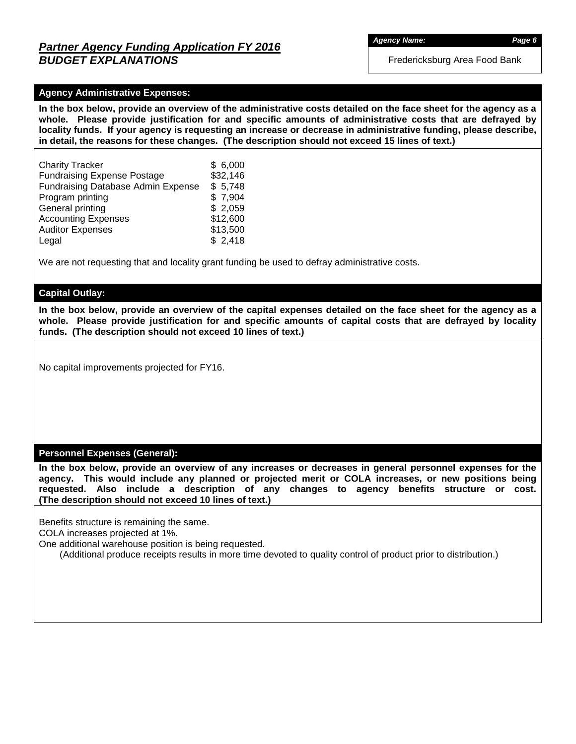## *Partner Agency Funding Application FY 2016 BUDGET EXPLANATIONS*

Fredericksburg Area Food Bank

### **Agency Administrative Expenses:**

**In the box below, provide an overview of the administrative costs detailed on the face sheet for the agency as a whole. Please provide justification for and specific amounts of administrative costs that are defrayed by locality funds. If your agency is requesting an increase or decrease in administrative funding, please describe, in detail, the reasons for these changes. (The description should not exceed 15 lines of text.)**

| <b>Charity Tracker</b>                    | \$6,000  |
|-------------------------------------------|----------|
| <b>Fundraising Expense Postage</b>        | \$32,146 |
| <b>Fundraising Database Admin Expense</b> | \$5,748  |
| Program printing                          | \$7,904  |
| General printing                          | \$2,059  |
| <b>Accounting Expenses</b>                | \$12,600 |
| <b>Auditor Expenses</b>                   | \$13,500 |
| Legal                                     | \$2,418  |

We are not requesting that and locality grant funding be used to defray administrative costs.

### **Capital Outlay:**

**In the box below, provide an overview of the capital expenses detailed on the face sheet for the agency as a whole. Please provide justification for and specific amounts of capital costs that are defrayed by locality funds. (The description should not exceed 10 lines of text.)**

No capital improvements projected for FY16.

#### **Personnel Expenses (General):**

**In the box below, provide an overview of any increases or decreases in general personnel expenses for the agency. This would include any planned or projected merit or COLA increases, or new positions being requested. Also include a description of any changes to agency benefits structure or cost. (The description should not exceed 10 lines of text.)**

Benefits structure is remaining the same.

COLA increases projected at 1%.

One additional warehouse position is being requested.

(Additional produce receipts results in more time devoted to quality control of product prior to distribution.)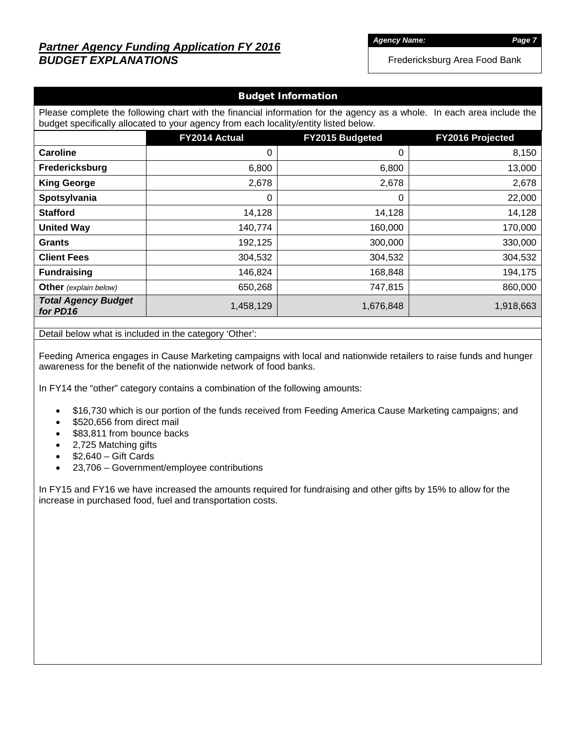# *Partner Agency Funding Application FY 2016 BUDGET EXPLANATIONS*

*Agency Name: Page 7*

Fredericksburg Area Food Bank

### Budget Information

Please complete the following chart with the financial information for the agency as a whole. In each area include the budget specifically allocated to your agency from each locality/entity listed below.

|                                        | FY2014 Actual | FY2015 Budgeted | FY2016 Projected |
|----------------------------------------|---------------|-----------------|------------------|
| <b>Caroline</b>                        | 0             | 0               | 8,150            |
| Fredericksburg                         | 6,800         | 6,800           | 13,000           |
| <b>King George</b>                     | 2,678         | 2,678           | 2,678            |
| Spotsylvania                           | 0             | $\mathbf 0$     | 22,000           |
| <b>Stafford</b>                        | 14,128        | 14,128          | 14,128           |
| <b>United Way</b>                      | 140,774       | 160,000         | 170,000          |
| <b>Grants</b>                          | 192,125       | 300,000         | 330,000          |
| <b>Client Fees</b>                     | 304,532       | 304,532         | 304,532          |
| <b>Fundraising</b>                     | 146,824       | 168,848         | 194,175          |
| <b>Other</b> (explain below)           | 650,268       | 747,815         | 860,000          |
| <b>Total Agency Budget</b><br>for PD16 | 1,458,129     | 1,676,848       | 1,918,663        |

Detail below what is included in the category 'Other':

Feeding America engages in Cause Marketing campaigns with local and nationwide retailers to raise funds and hunger awareness for the benefit of the nationwide network of food banks.

In FY14 the "other" category contains a combination of the following amounts:

- \$16,730 which is our portion of the funds received from Feeding America Cause Marketing campaigns; and
- \$520,656 from direct mail
- \$83,811 from bounce backs
- 2,725 Matching gifts
- $\bullet$  \$2,640 Gift Cards
- 23,706 Government/employee contributions

In FY15 and FY16 we have increased the amounts required for fundraising and other gifts by 15% to allow for the increase in purchased food, fuel and transportation costs.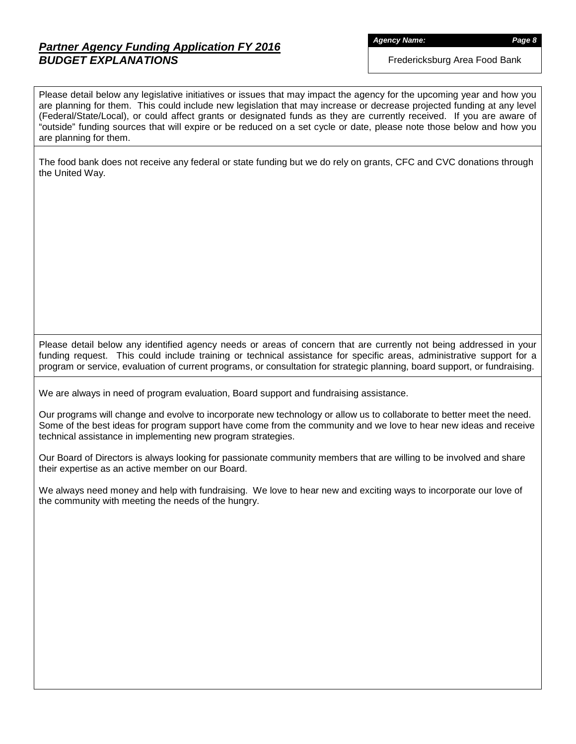# *Partner Agency Funding Application FY 2016 BUDGET EXPLANATIONS*

*Agency Name: Page 8*

Fredericksburg Area Food Bank

Please detail below any legislative initiatives or issues that may impact the agency for the upcoming year and how you are planning for them. This could include new legislation that may increase or decrease projected funding at any level (Federal/State/Local), or could affect grants or designated funds as they are currently received. If you are aware of "outside" funding sources that will expire or be reduced on a set cycle or date, please note those below and how you are planning for them.

The food bank does not receive any federal or state funding but we do rely on grants, CFC and CVC donations through the United Way.

Please detail below any identified agency needs or areas of concern that are currently not being addressed in your funding request. This could include training or technical assistance for specific areas, administrative support for a program or service, evaluation of current programs, or consultation for strategic planning, board support, or fundraising.

We are always in need of program evaluation, Board support and fundraising assistance.

Our programs will change and evolve to incorporate new technology or allow us to collaborate to better meet the need. Some of the best ideas for program support have come from the community and we love to hear new ideas and receive technical assistance in implementing new program strategies.

Our Board of Directors is always looking for passionate community members that are willing to be involved and share their expertise as an active member on our Board.

We always need money and help with fundraising. We love to hear new and exciting ways to incorporate our love of the community with meeting the needs of the hungry.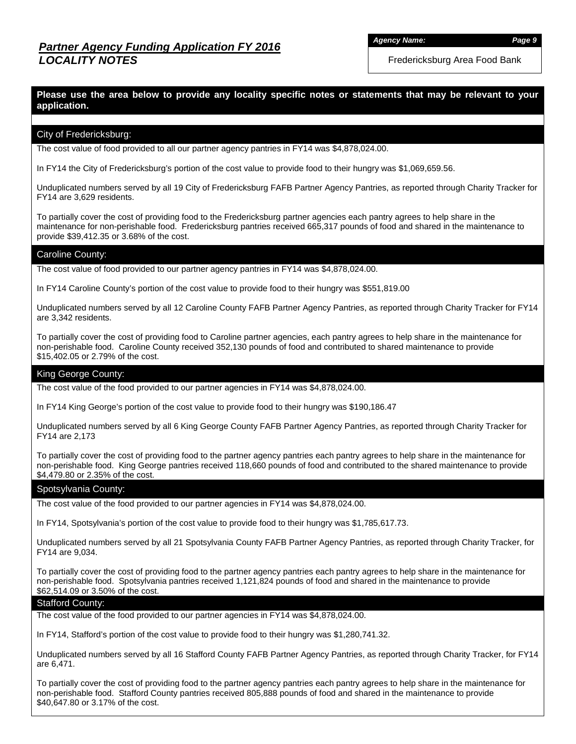*Agency Name: Page 9*

Fredericksburg Area Food Bank

### **Please use the area below to provide any locality specific notes or statements that may be relevant to your application.**

#### City of Fredericksburg:

The cost value of food provided to all our partner agency pantries in FY14 was \$4,878,024.00.

In FY14 the City of Fredericksburg's portion of the cost value to provide food to their hungry was \$1,069,659.56.

Unduplicated numbers served by all 19 City of Fredericksburg FAFB Partner Agency Pantries, as reported through Charity Tracker for FY14 are 3,629 residents.

To partially cover the cost of providing food to the Fredericksburg partner agencies each pantry agrees to help share in the maintenance for non-perishable food. Fredericksburg pantries received 665,317 pounds of food and shared in the maintenance to provide \$39,412.35 or 3.68% of the cost.

#### Caroline County:

The cost value of food provided to our partner agency pantries in FY14 was \$4,878,024.00.

In FY14 Caroline County's portion of the cost value to provide food to their hungry was \$551,819.00

Unduplicated numbers served by all 12 Caroline County FAFB Partner Agency Pantries, as reported through Charity Tracker for FY14 are 3,342 residents.

To partially cover the cost of providing food to Caroline partner agencies, each pantry agrees to help share in the maintenance for non-perishable food. Caroline County received 352,130 pounds of food and contributed to shared maintenance to provide \$15,402.05 or 2.79% of the cost.

#### King George County:

The cost value of the food provided to our partner agencies in FY14 was \$4,878,024.00.

In FY14 King George's portion of the cost value to provide food to their hungry was \$190,186.47

Unduplicated numbers served by all 6 King George County FAFB Partner Agency Pantries, as reported through Charity Tracker for FY14 are 2,173

To partially cover the cost of providing food to the partner agency pantries each pantry agrees to help share in the maintenance for non-perishable food. King George pantries received 118,660 pounds of food and contributed to the shared maintenance to provide \$4,479.80 or 2.35% of the cost.

#### Spotsylvania County:

The cost value of the food provided to our partner agencies in FY14 was \$4,878,024.00.

In FY14, Spotsylvania's portion of the cost value to provide food to their hungry was \$1,785,617.73.

Unduplicated numbers served by all 21 Spotsylvania County FAFB Partner Agency Pantries, as reported through Charity Tracker, for FY14 are 9,034.

To partially cover the cost of providing food to the partner agency pantries each pantry agrees to help share in the maintenance for non-perishable food. Spotsylvania pantries received 1,121,824 pounds of food and shared in the maintenance to provide \$62,514.09 or 3.50% of the cost.

#### Stafford County:

The cost value of the food provided to our partner agencies in FY14 was \$4,878,024.00.

In FY14, Stafford's portion of the cost value to provide food to their hungry was \$1,280,741.32.

Unduplicated numbers served by all 16 Stafford County FAFB Partner Agency Pantries, as reported through Charity Tracker, for FY14 are 6,471.

To partially cover the cost of providing food to the partner agency pantries each pantry agrees to help share in the maintenance for non-perishable food. Stafford County pantries received 805,888 pounds of food and shared in the maintenance to provide \$40,647.80 or 3.17% of the cost.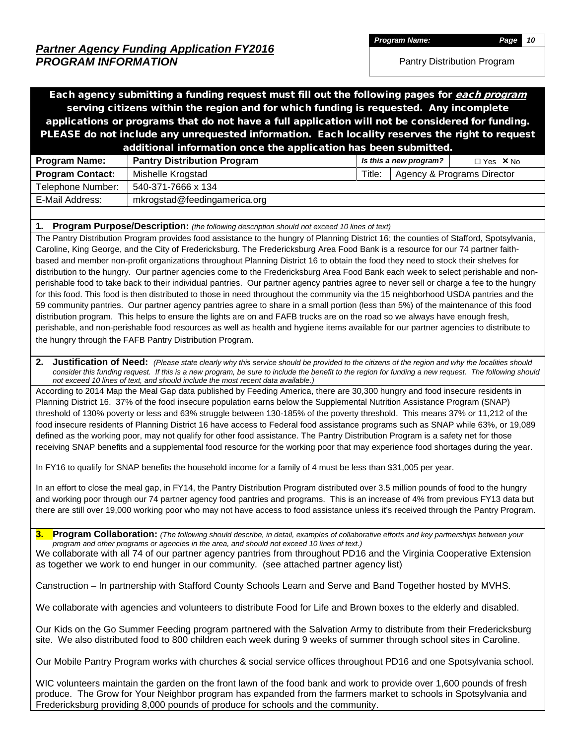*Program Name: Page 10*

Pantry Distribution Program

Each agency submitting a funding request must fill out the following pages for *each program* serving citizens within the region and for which funding is requested. Any incomplete applications or programs that do not have a full application will not be considered for funding. PLEASE do not include any unrequested information. Each locality reserves the right to request additional information once the application has been submitted.

|                         | .                                  |        |                        |                            |
|-------------------------|------------------------------------|--------|------------------------|----------------------------|
| <b>Program Name:</b>    | <b>Pantry Distribution Program</b> |        | Is this a new program? | $\Box$ Yes $\times$ No     |
| <b>Program Contact:</b> | Mishelle Krogstad                  | Title: |                        | Agency & Programs Director |
| Telephone Number:       | 540-371-7666 x 134                 |        |                        |                            |
| E-Mail Address:         | mkrogstad@feedingamerica.org       |        |                        |                            |
|                         |                                    |        |                        |                            |

#### **1. Program Purpose/Description:** *(the following description should not exceed 10 lines of text)*

The Pantry Distribution Program provides food assistance to the hungry of Planning District 16; the counties of Stafford, Spotsylvania, Caroline, King George, and the City of Fredericksburg. The Fredericksburg Area Food Bank is a resource for our 74 partner faithbased and member non-profit organizations throughout Planning District 16 to obtain the food they need to stock their shelves for distribution to the hungry. Our partner agencies come to the Fredericksburg Area Food Bank each week to select perishable and nonperishable food to take back to their individual pantries. Our partner agency pantries agree to never sell or charge a fee to the hungry for this food. This food is then distributed to those in need throughout the community via the 15 neighborhood USDA pantries and the 59 community pantries. Our partner agency pantries agree to share in a small portion (less than 5%) of the maintenance of this food distribution program. This helps to ensure the lights are on and FAFB trucks are on the road so we always have enough fresh, perishable, and non-perishable food resources as well as health and hygiene items available for our partner agencies to distribute to the hungry through the FAFB Pantry Distribution Program.

**2.** Justification of Need: (Please state clearly why this service should be provided to the citizens of the region and why the localities should consider this funding request. If this is a new program, be sure to include the benefit to the region for funding a new request. The following should *not exceed 10 lines of text, and should include the most recent data available.)*

According to 2014 Map the Meal Gap data published by Feeding America, there are 30,300 hungry and food insecure residents in Planning District 16. 37% of the food insecure population earns below the Supplemental Nutrition Assistance Program (SNAP) threshold of 130% poverty or less and 63% struggle between 130-185% of the poverty threshold. This means 37% or 11,212 of the food insecure residents of Planning District 16 have access to Federal food assistance programs such as SNAP while 63%, or 19,089 defined as the working poor, may not qualify for other food assistance. The Pantry Distribution Program is a safety net for those receiving SNAP benefits and a supplemental food resource for the working poor that may experience food shortages during the year.

In FY16 to qualify for SNAP benefits the household income for a family of 4 must be less than \$31,005 per year.

In an effort to close the meal gap, in FY14, the Pantry Distribution Program distributed over 3.5 million pounds of food to the hungry and working poor through our 74 partner agency food pantries and programs. This is an increase of 4% from previous FY13 data but there are still over 19,000 working poor who may not have access to food assistance unless it's received through the Pantry Program.

**3. Program Collaboration:** *(The following should describe, in detail, examples of collaborative efforts and key partnerships between your program and other programs or agencies in the area, and should not exceed 10 lines of text.)*

We collaborate with all 74 of our partner agency pantries from throughout PD16 and the Virginia Cooperative Extension as together we work to end hunger in our community. (see attached partner agency list)

Canstruction – In partnership with Stafford County Schools Learn and Serve and Band Together hosted by MVHS.

We collaborate with agencies and volunteers to distribute Food for Life and Brown boxes to the elderly and disabled.

Our Kids on the Go Summer Feeding program partnered with the Salvation Army to distribute from their Fredericksburg site. We also distributed food to 800 children each week during 9 weeks of summer through school sites in Caroline.

Our Mobile Pantry Program works with churches & social service offices throughout PD16 and one Spotsylvania school.

WIC volunteers maintain the garden on the front lawn of the food bank and work to provide over 1,600 pounds of fresh produce. The Grow for Your Neighbor program has expanded from the farmers market to schools in Spotsylvania and Fredericksburg providing 8,000 pounds of produce for schools and the community.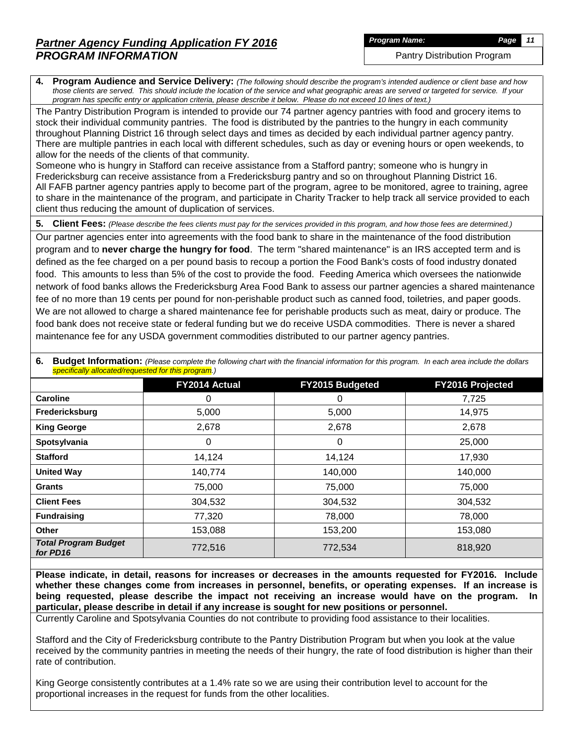Pantry Distribution Program

**4. Program Audience and Service Delivery:** *(The following should describe the program's intended audience or client base and how those clients are served. This should include the location of the service and what geographic areas are served or targeted for service. If your program has specific entry or application criteria, please describe it below. Please do not exceed 10 lines of text.)*

The Pantry Distribution Program is intended to provide our 74 partner agency pantries with food and grocery items to stock their individual community pantries. The food is distributed by the pantries to the hungry in each community throughout Planning District 16 through select days and times as decided by each individual partner agency pantry. There are multiple pantries in each local with different schedules, such as day or evening hours or open weekends, to allow for the needs of the clients of that community.

Someone who is hungry in Stafford can receive assistance from a Stafford pantry; someone who is hungry in Fredericksburg can receive assistance from a Fredericksburg pantry and so on throughout Planning District 16. All FAFB partner agency pantries apply to become part of the program, agree to be monitored, agree to training, agree to share in the maintenance of the program, and participate in Charity Tracker to help track all service provided to each client thus reducing the amount of duplication of services.

**5. Client Fees:** *(Please describe the fees clients must pay for the services provided in this program, and how those fees are determined.)*

Our partner agencies enter into agreements with the food bank to share in the maintenance of the food distribution program and to **never charge the hungry for food**. The term "shared maintenance" is an IRS accepted term and is defined as the fee charged on a per pound basis to recoup a portion the Food Bank's costs of food industry donated food. This amounts to less than 5% of the cost to provide the food. Feeding America which oversees the nationwide network of food banks allows the Fredericksburg Area Food Bank to assess our partner agencies a shared maintenance fee of no more than 19 cents per pound for non-perishable product such as canned food, toiletries, and paper goods. We are not allowed to charge a shared maintenance fee for perishable products such as meat, dairy or produce. The food bank does not receive state or federal funding but we do receive USDA commodities. There is never a shared maintenance fee for any USDA government commodities distributed to our partner agency pantries.

|                                         | <b>FY2014 Actual</b> | FY2015 Budgeted | <b>FY2016 Projected</b> |
|-----------------------------------------|----------------------|-----------------|-------------------------|
| <b>Caroline</b>                         | 0                    | 0               | 7,725                   |
| Fredericksburg                          | 5,000                | 5,000           | 14,975                  |
| <b>King George</b>                      | 2,678                | 2,678           | 2,678                   |
| Spotsylvania                            | 0                    | 0               | 25,000                  |
| <b>Stafford</b>                         | 14,124               | 14,124          | 17,930                  |
| <b>United Way</b>                       | 140,774              | 140,000         | 140,000                 |
| <b>Grants</b>                           | 75,000               | 75,000          | 75,000                  |
| <b>Client Fees</b>                      | 304,532              | 304,532         | 304,532                 |
| <b>Fundraising</b>                      | 77,320               | 78,000          | 78,000                  |
| Other                                   | 153,088              | 153,200         | 153,080                 |
| <b>Total Program Budget</b><br>for PD16 | 772,516              | 772,534         | 818,920                 |

**6.** Budget Information: (Please complete the following chart with the financial information for this program. In each area include the dollars *specifically allocated/requested for this program.)*

**Please indicate, in detail, reasons for increases or decreases in the amounts requested for FY2016. Include whether these changes come from increases in personnel, benefits, or operating expenses. If an increase is being requested, please describe the impact not receiving an increase would have on the program. In particular, please describe in detail if any increase is sought for new positions or personnel.**

Currently Caroline and Spotsylvania Counties do not contribute to providing food assistance to their localities.

Stafford and the City of Fredericksburg contribute to the Pantry Distribution Program but when you look at the value received by the community pantries in meeting the needs of their hungry, the rate of food distribution is higher than their rate of contribution.

King George consistently contributes at a 1.4% rate so we are using their contribution level to account for the proportional increases in the request for funds from the other localities.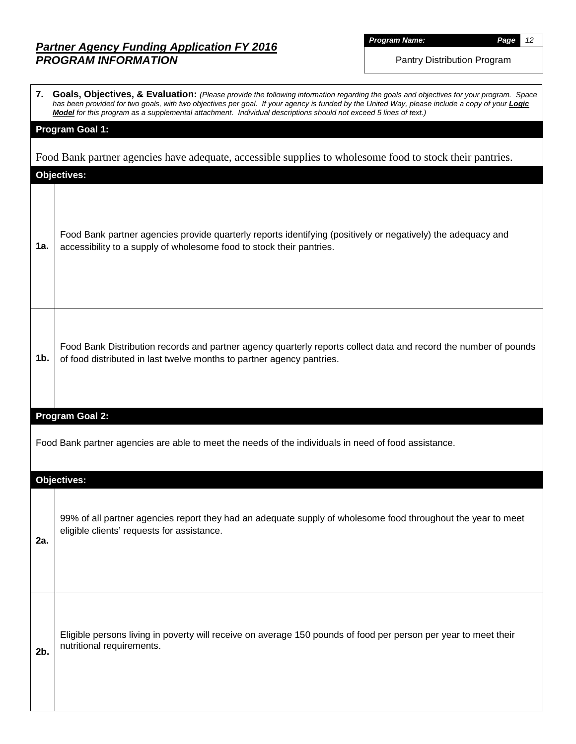*Program Name: Page 12*

Pantry Distribution Program

|     | 7. Goals, Objectives, & Evaluation: (Please provide the following information regarding the goals and objectives for your program. Space<br>has been provided for two goals, with two objectives per goal. If your agency is funded by the United Way, please include a copy of your <b>Logic</b><br>Model for this program as a supplemental attachment. Individual descriptions should not exceed 5 lines of text.) |
|-----|-----------------------------------------------------------------------------------------------------------------------------------------------------------------------------------------------------------------------------------------------------------------------------------------------------------------------------------------------------------------------------------------------------------------------|
|     | <b>Program Goal 1:</b>                                                                                                                                                                                                                                                                                                                                                                                                |
|     | Food Bank partner agencies have adequate, accessible supplies to wholesome food to stock their pantries.                                                                                                                                                                                                                                                                                                              |
|     | <b>Objectives:</b>                                                                                                                                                                                                                                                                                                                                                                                                    |
| 1a. | Food Bank partner agencies provide quarterly reports identifying (positively or negatively) the adequacy and<br>accessibility to a supply of wholesome food to stock their pantries.                                                                                                                                                                                                                                  |
| 1b. | Food Bank Distribution records and partner agency quarterly reports collect data and record the number of pounds<br>of food distributed in last twelve months to partner agency pantries.                                                                                                                                                                                                                             |
|     | <b>Program Goal 2:</b>                                                                                                                                                                                                                                                                                                                                                                                                |
|     | Food Bank partner agencies are able to meet the needs of the individuals in need of food assistance.                                                                                                                                                                                                                                                                                                                  |
|     | <b>Objectives:</b>                                                                                                                                                                                                                                                                                                                                                                                                    |
| 2a. | 99% of all partner agencies report they had an adequate supply of wholesome food throughout the year to meet<br>eligible clients' requests for assistance.                                                                                                                                                                                                                                                            |
| 2b. | Eligible persons living in poverty will receive on average 150 pounds of food per person per year to meet their<br>nutritional requirements.                                                                                                                                                                                                                                                                          |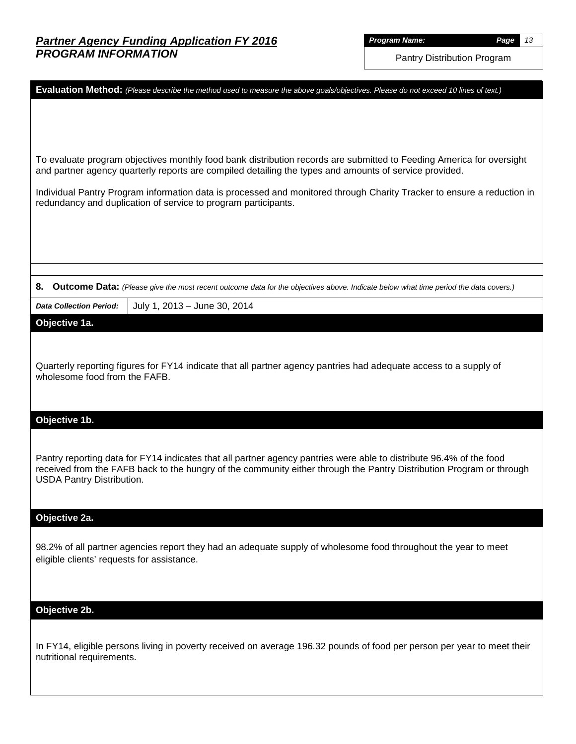Pantry Distribution Program

| Evaluation Method: (Please describe the method used to measure the above goals/objectives. Please do not exceed 10 lines of text.)                                                                                                          |
|---------------------------------------------------------------------------------------------------------------------------------------------------------------------------------------------------------------------------------------------|
|                                                                                                                                                                                                                                             |
|                                                                                                                                                                                                                                             |
| To evaluate program objectives monthly food bank distribution records are submitted to Feeding America for oversight<br>and partner agency quarterly reports are compiled detailing the types and amounts of service provided.              |
| Individual Pantry Program information data is processed and monitored through Charity Tracker to ensure a reduction in<br>redundancy and duplication of service to program participants.                                                    |
|                                                                                                                                                                                                                                             |
|                                                                                                                                                                                                                                             |
|                                                                                                                                                                                                                                             |
| 8.<br>Outcome Data: (Please give the most recent outcome data for the objectives above. Indicate below what time period the data covers.)                                                                                                   |
| <b>Data Collection Period:</b><br>July 1, 2013 - June 30, 2014                                                                                                                                                                              |
| Objective 1a.                                                                                                                                                                                                                               |
|                                                                                                                                                                                                                                             |
| Quarterly reporting figures for FY14 indicate that all partner agency pantries had adequate access to a supply of                                                                                                                           |
| wholesome food from the FAFB.                                                                                                                                                                                                               |
|                                                                                                                                                                                                                                             |
| Objective 1b.                                                                                                                                                                                                                               |
|                                                                                                                                                                                                                                             |
| Pantry reporting data for FY14 indicates that all partner agency pantries were able to distribute 96.4% of the food<br>received from the FAFB back to the hungry of the community either through the Pantry Distribution Program or through |
| <b>USDA Pantry Distribution.</b>                                                                                                                                                                                                            |
|                                                                                                                                                                                                                                             |
| Objective 2a.                                                                                                                                                                                                                               |
| 98.2% of all partner agencies report they had an adequate supply of wholesome food throughout the year to meet                                                                                                                              |
| eligible clients' requests for assistance.                                                                                                                                                                                                  |
|                                                                                                                                                                                                                                             |
|                                                                                                                                                                                                                                             |
| Objective 2b.                                                                                                                                                                                                                               |
| In FY14, eligible persons living in poverty received on average 196.32 pounds of food per person per year to meet their                                                                                                                     |
| nutritional requirements.                                                                                                                                                                                                                   |
|                                                                                                                                                                                                                                             |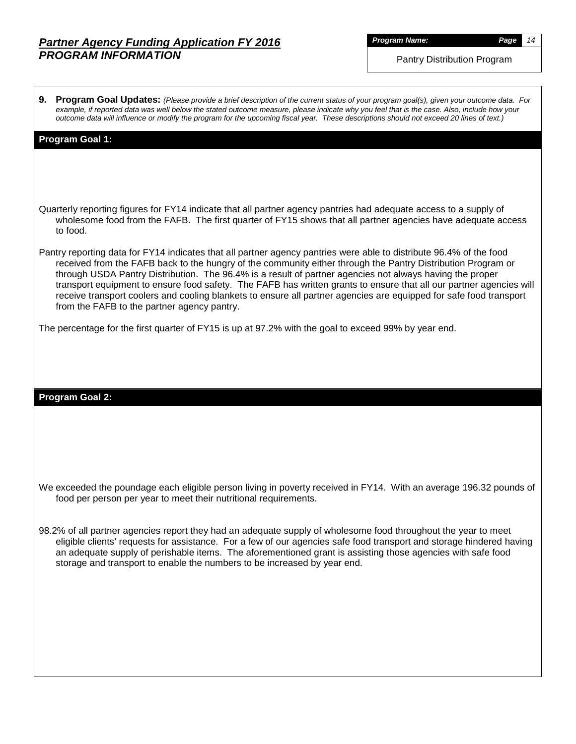*Program Name: Page 14*

Pantry Distribution Program

**9. Program Goal Updates:** *(Please provide a brief description of the current status of your program goal(s), given your outcome data. For example, if reported data was well below the stated outcome measure, please indicate why you feel that is the case. Also, include how your outcome data will influence or modify the program for the upcoming fiscal year. These descriptions should not exceed 20 lines of text.)*

#### **Program Goal 1:**

Quarterly reporting figures for FY14 indicate that all partner agency pantries had adequate access to a supply of wholesome food from the FAFB. The first quarter of FY15 shows that all partner agencies have adequate access to food.

Pantry reporting data for FY14 indicates that all partner agency pantries were able to distribute 96.4% of the food received from the FAFB back to the hungry of the community either through the Pantry Distribution Program or through USDA Pantry Distribution. The 96.4% is a result of partner agencies not always having the proper transport equipment to ensure food safety. The FAFB has written grants to ensure that all our partner agencies will receive transport coolers and cooling blankets to ensure all partner agencies are equipped for safe food transport from the FAFB to the partner agency pantry.

The percentage for the first quarter of FY15 is up at 97.2% with the goal to exceed 99% by year end.

#### **Program Goal 2:**

We exceeded the poundage each eligible person living in poverty received in FY14. With an average 196.32 pounds of food per person per year to meet their nutritional requirements.

98.2% of all partner agencies report they had an adequate supply of wholesome food throughout the year to meet eligible clients' requests for assistance. For a few of our agencies safe food transport and storage hindered having an adequate supply of perishable items. The aforementioned grant is assisting those agencies with safe food storage and transport to enable the numbers to be increased by year end.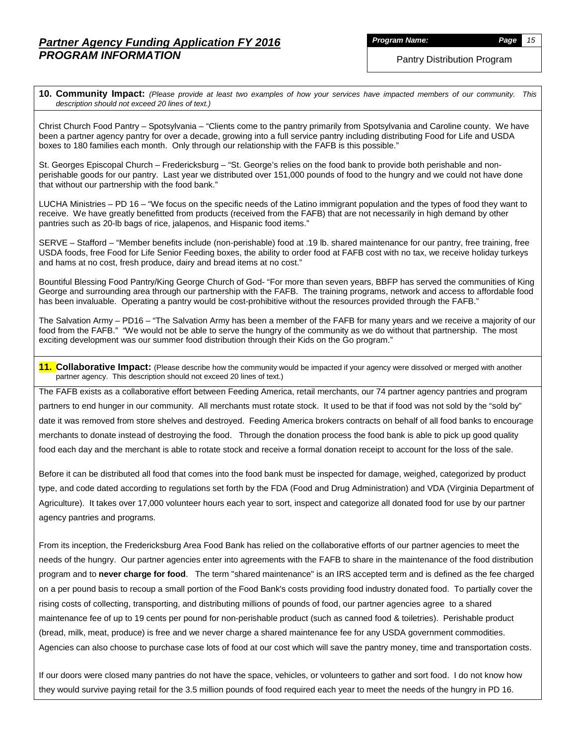*Program Name: Page 15*

**10. Community Impact:** *(Please provide at least two examples of how your services have impacted members of our community. This description should not exceed 20 lines of text.)*

Christ Church Food Pantry – Spotsylvania – "Clients come to the pantry primarily from Spotsylvania and Caroline county. We have been a partner agency pantry for over a decade, growing into a full service pantry including distributing Food for Life and USDA boxes to 180 families each month. Only through our relationship with the FAFB is this possible."

St. Georges Episcopal Church – Fredericksburg – "St. George's relies on the food bank to provide both perishable and nonperishable goods for our pantry. Last year we distributed over 151,000 pounds of food to the hungry and we could not have done that without our partnership with the food bank."

LUCHA Ministries – PD 16 – "We focus on the specific needs of the Latino immigrant population and the types of food they want to receive. We have greatly benefitted from products (received from the FAFB) that are not necessarily in high demand by other pantries such as 20-lb bags of rice, jalapenos, and Hispanic food items."

SERVE – Stafford – "Member benefits include (non-perishable) food at .19 lb. shared maintenance for our pantry, free training, free USDA foods, free Food for Life Senior Feeding boxes, the ability to order food at FAFB cost with no tax, we receive holiday turkeys and hams at no cost, fresh produce, dairy and bread items at no cost."

Bountiful Blessing Food Pantry/King George Church of God- "For more than seven years, BBFP has served the communities of King George and surrounding area through our partnership with the FAFB. The training programs, network and access to affordable food has been invaluable. Operating a pantry would be cost-prohibitive without the resources provided through the FAFB."

The Salvation Army – PD16 – "The Salvation Army has been a member of the FAFB for many years and we receive a majority of our food from the FAFB." "We would not be able to serve the hungry of the community as we do without that partnership. The most exciting development was our summer food distribution through their Kids on the Go program."

**11. Collaborative Impact:** (Please describe how the community would be impacted if your agency were dissolved or merged with another partner agency. This description should not exceed 20 lines of text.)

The FAFB exists as a collaborative effort between Feeding America, retail merchants, our 74 partner agency pantries and program partners to end hunger in our community. All merchants must rotate stock. It used to be that if food was not sold by the "sold by" date it was removed from store shelves and destroyed. Feeding America brokers contracts on behalf of all food banks to encourage merchants to donate instead of destroying the food. Through the donation process the food bank is able to pick up good quality food each day and the merchant is able to rotate stock and receive a formal donation receipt to account for the loss of the sale.

Before it can be distributed all food that comes into the food bank must be inspected for damage, weighed, categorized by product type, and code dated according to regulations set forth by the FDA (Food and Drug Administration) and VDA (Virginia Department of Agriculture). It takes over 17,000 volunteer hours each year to sort, inspect and categorize all donated food for use by our partner agency pantries and programs.

From its inception, the Fredericksburg Area Food Bank has relied on the collaborative efforts of our partner agencies to meet the needs of the hungry. Our partner agencies enter into agreements with the FAFB to share in the maintenance of the food distribution program and to **never charge for food**. The term "shared maintenance" is an IRS accepted term and is defined as the fee charged on a per pound basis to recoup a small portion of the Food Bank's costs providing food industry donated food. To partially cover the rising costs of collecting, transporting, and distributing millions of pounds of food, our partner agencies agree to a shared maintenance fee of up to 19 cents per pound for non-perishable product (such as canned food & toiletries). Perishable product (bread, milk, meat, produce) is free and we never charge a shared maintenance fee for any USDA government commodities. Agencies can also choose to purchase case lots of food at our cost which will save the pantry money, time and transportation costs.

If our doors were closed many pantries do not have the space, vehicles, or volunteers to gather and sort food. I do not know how they would survive paying retail for the 3.5 million pounds of food required each year to meet the needs of the hungry in PD 16.